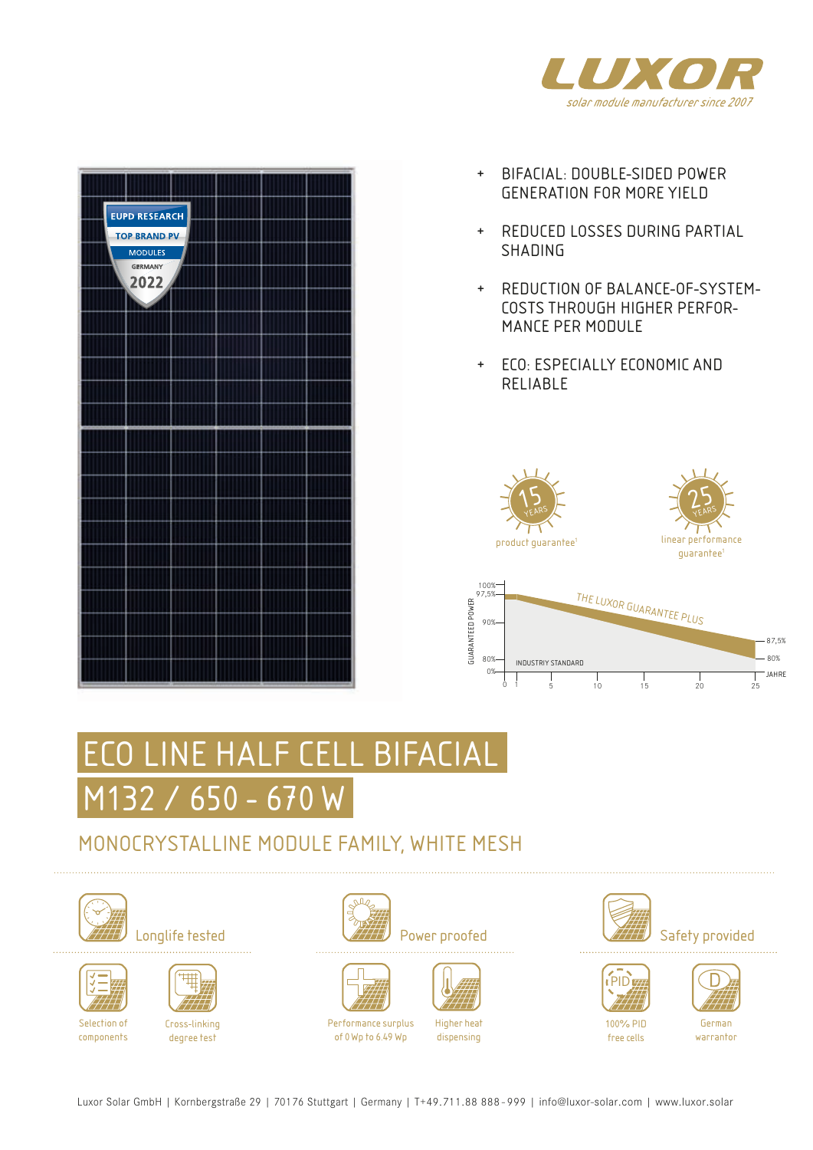



- + BIFACIAL: DOUBLE-SIDED POWER GENERATION FOR MORE YIELD
- + REDUCED LOSSES DURING PARTIAL SHADING
- + REDUCTION OF BALANCE-OF-SYSTEM-COSTS THROUGH HIGHER PERFOR-MANCE PER MODULE
- + ECO: ESPECIALLY ECONOMIC AND RELIABLE







# ECO LINE HALF CELL BIFACIAL M132 / 650 - 670 W

### MONOCRYSTALLINE MODULE FAMILY, WHITE MESH







components



degree test







Performance surplus of 0Wp to 6.49 Wp



Higher heat dispensing







100% PID free cells

German warrantor